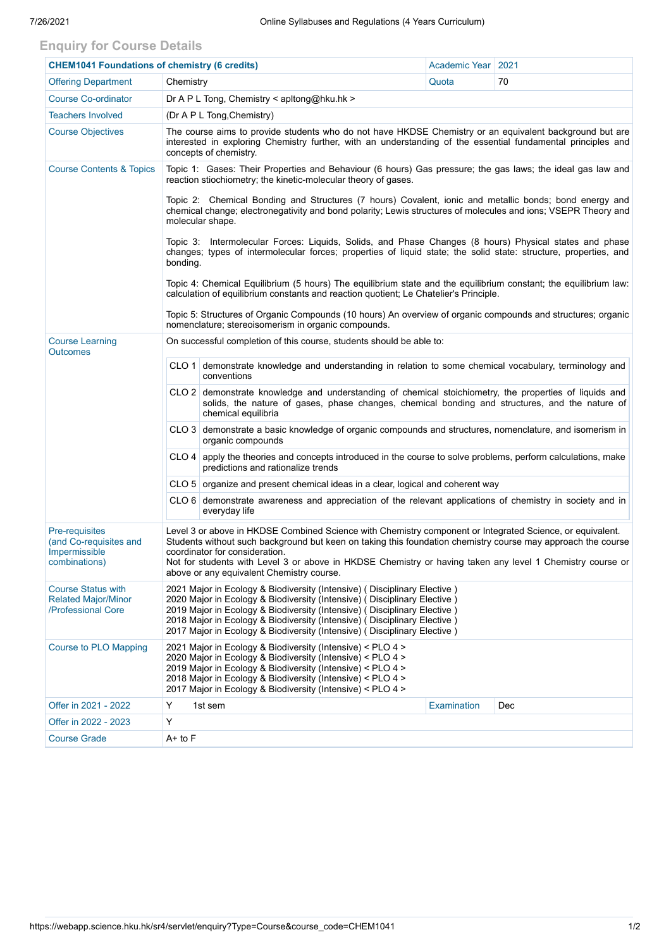## **Enquiry for Course Details**

| <b>CHEM1041 Foundations of chemistry (6 credits)</b>                          |                                                                                                                                                                                                                                                                                                                                                                                                                       |                                                                                                                                                                                                                                 | Academic Year   2021 |     |  |  |  |  |  |
|-------------------------------------------------------------------------------|-----------------------------------------------------------------------------------------------------------------------------------------------------------------------------------------------------------------------------------------------------------------------------------------------------------------------------------------------------------------------------------------------------------------------|---------------------------------------------------------------------------------------------------------------------------------------------------------------------------------------------------------------------------------|----------------------|-----|--|--|--|--|--|
| <b>Offering Department</b>                                                    | Chemistry                                                                                                                                                                                                                                                                                                                                                                                                             |                                                                                                                                                                                                                                 | Quota                | 70  |  |  |  |  |  |
| <b>Course Co-ordinator</b>                                                    | Dr A P L Tong, Chemistry < apitong@hku.hk >                                                                                                                                                                                                                                                                                                                                                                           |                                                                                                                                                                                                                                 |                      |     |  |  |  |  |  |
| <b>Teachers Involved</b>                                                      | (Dr A P L Tong, Chemistry)                                                                                                                                                                                                                                                                                                                                                                                            |                                                                                                                                                                                                                                 |                      |     |  |  |  |  |  |
| <b>Course Objectives</b>                                                      | The course aims to provide students who do not have HKDSE Chemistry or an equivalent background but are<br>interested in exploring Chemistry further, with an understanding of the essential fundamental principles and<br>concepts of chemistry.                                                                                                                                                                     |                                                                                                                                                                                                                                 |                      |     |  |  |  |  |  |
| <b>Course Contents &amp; Topics</b>                                           | Topic 1: Gases: Their Properties and Behaviour (6 hours) Gas pressure; the gas laws; the ideal gas law and<br>reaction stiochiometry; the kinetic-molecular theory of gases.                                                                                                                                                                                                                                          |                                                                                                                                                                                                                                 |                      |     |  |  |  |  |  |
|                                                                               | Topic 2: Chemical Bonding and Structures (7 hours) Covalent, ionic and metallic bonds; bond energy and<br>chemical change; electronegativity and bond polarity; Lewis structures of molecules and ions; VSEPR Theory and<br>molecular shape.                                                                                                                                                                          |                                                                                                                                                                                                                                 |                      |     |  |  |  |  |  |
|                                                                               | Topic 3: Intermolecular Forces: Liquids, Solids, and Phase Changes (8 hours) Physical states and phase<br>changes; types of intermolecular forces; properties of liquid state; the solid state: structure, properties, and<br>bonding.                                                                                                                                                                                |                                                                                                                                                                                                                                 |                      |     |  |  |  |  |  |
|                                                                               | Topic 4: Chemical Equilibrium (5 hours) The equilibrium state and the equilibrium constant; the equilibrium law:<br>calculation of equilibrium constants and reaction quotient; Le Chatelier's Principle.                                                                                                                                                                                                             |                                                                                                                                                                                                                                 |                      |     |  |  |  |  |  |
|                                                                               | Topic 5: Structures of Organic Compounds (10 hours) An overview of organic compounds and structures; organic<br>nomenclature; stereoisomerism in organic compounds.                                                                                                                                                                                                                                                   |                                                                                                                                                                                                                                 |                      |     |  |  |  |  |  |
| <b>Course Learning</b><br><b>Outcomes</b>                                     | On successful completion of this course, students should be able to:                                                                                                                                                                                                                                                                                                                                                  |                                                                                                                                                                                                                                 |                      |     |  |  |  |  |  |
|                                                                               |                                                                                                                                                                                                                                                                                                                                                                                                                       | CLO 1 demonstrate knowledge and understanding in relation to some chemical vocabulary, terminology and<br>conventions                                                                                                           |                      |     |  |  |  |  |  |
|                                                                               |                                                                                                                                                                                                                                                                                                                                                                                                                       | CLO 2 demonstrate knowledge and understanding of chemical stoichiometry, the properties of liquids and<br>solids, the nature of gases, phase changes, chemical bonding and structures, and the nature of<br>chemical equilibria |                      |     |  |  |  |  |  |
|                                                                               |                                                                                                                                                                                                                                                                                                                                                                                                                       | CLO 3 demonstrate a basic knowledge of organic compounds and structures, nomenclature, and isomerism in<br>organic compounds                                                                                                    |                      |     |  |  |  |  |  |
|                                                                               |                                                                                                                                                                                                                                                                                                                                                                                                                       | $CLO$ 4 apply the theories and concepts introduced in the course to solve problems, perform calculations, make<br>predictions and rationalize trends                                                                            |                      |     |  |  |  |  |  |
|                                                                               |                                                                                                                                                                                                                                                                                                                                                                                                                       | CLO 5   organize and present chemical ideas in a clear, logical and coherent way                                                                                                                                                |                      |     |  |  |  |  |  |
|                                                                               |                                                                                                                                                                                                                                                                                                                                                                                                                       | $CLO 6$ demonstrate awareness and appreciation of the relevant applications of chemistry in society and in<br>everyday life                                                                                                     |                      |     |  |  |  |  |  |
| Pre-requisites<br>(and Co-requisites and<br>Impermissible<br>combinations)    | Level 3 or above in HKDSE Combined Science with Chemistry component or Integrated Science, or equivalent.<br>Students without such background but keen on taking this foundation chemistry course may approach the course<br>coordinator for consideration.<br>Not for students with Level 3 or above in HKDSE Chemistry or having taken any level 1 Chemistry course or<br>above or any equivalent Chemistry course. |                                                                                                                                                                                                                                 |                      |     |  |  |  |  |  |
| <b>Course Status with</b><br><b>Related Major/Minor</b><br>/Professional Core | 2021 Major in Ecology & Biodiversity (Intensive) (Disciplinary Elective)<br>2020 Major in Ecology & Biodiversity (Intensive) (Disciplinary Elective)<br>2019 Major in Ecology & Biodiversity (Intensive) (Disciplinary Elective)<br>2018 Major in Ecology & Biodiversity (Intensive) (Disciplinary Elective)<br>2017 Major in Ecology & Biodiversity (Intensive) (Disciplinary Elective)                              |                                                                                                                                                                                                                                 |                      |     |  |  |  |  |  |
| <b>Course to PLO Mapping</b>                                                  | 2021 Major in Ecology & Biodiversity (Intensive) < PLO 4 ><br>2020 Major in Ecology & Biodiversity (Intensive) < PLO 4 ><br>2019 Major in Ecology & Biodiversity (Intensive) < PLO 4 ><br>2018 Major in Ecology & Biodiversity (Intensive) < PLO 4 ><br>2017 Major in Ecology & Biodiversity (Intensive) < PLO 4 >                                                                                                    |                                                                                                                                                                                                                                 |                      |     |  |  |  |  |  |
| Offer in 2021 - 2022                                                          | Y                                                                                                                                                                                                                                                                                                                                                                                                                     | 1st sem                                                                                                                                                                                                                         | Examination          | Dec |  |  |  |  |  |
| Offer in 2022 - 2023                                                          | Y                                                                                                                                                                                                                                                                                                                                                                                                                     |                                                                                                                                                                                                                                 |                      |     |  |  |  |  |  |
| <b>Course Grade</b>                                                           | A+ to F                                                                                                                                                                                                                                                                                                                                                                                                               |                                                                                                                                                                                                                                 |                      |     |  |  |  |  |  |